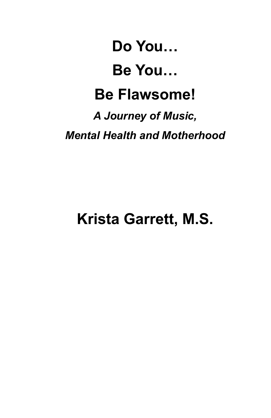# **Do You… Be You… Be Flawsome!** *A Journey of Music, Mental Health and Motherhood*

## **Krista Garrett, M.S.**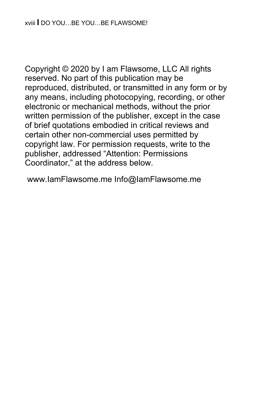Copyright © 2020 by I am Flawsome, LLC All rights reserved. No part of this publication may be reproduced, distributed, or transmitted in any form or by any means, including photocopying, recording, or other electronic or mechanical methods, without the prior written permission of the publisher, except in the case of brief quotations embodied in critical reviews and certain other non-commercial uses permitted by copyright law. For permission requests, write to the publisher, addressed "Attention: Permissions Coordinator," at the address below.

www.IamFlawsome.me Info@IamFlawsome.me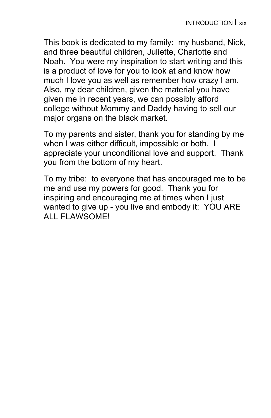This book is dedicated to my family: my husband, Nick, and three beautiful children, Juliette, Charlotte and Noah. You were my inspiration to start writing and this is a product of love for you to look at and know how much I love you as well as remember how crazy I am. Also, my dear children, given the material you have given me in recent years, we can possibly afford college without Mommy and Daddy having to sell our major organs on the black market.

To my parents and sister, thank you for standing by me when I was either difficult, impossible or both. I appreciate your unconditional love and support. Thank you from the bottom of my heart.

To my tribe: to everyone that has encouraged me to be me and use my powers for good. Thank you for inspiring and encouraging me at times when I just wanted to give up - you live and embody it: YOU ARE ALL FLAWSOME!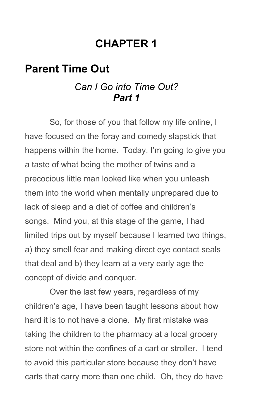### **CHAPTER 1**

#### **Parent Time Out**

#### *Can I Go into Time Out? Part 1*

So, for those of you that follow my life online, I have focused on the foray and comedy slapstick that happens within the home. Today, I'm going to give you a taste of what being the mother of twins and a precocious little man looked like when you unleash them into the world when mentally unprepared due to lack of sleep and a diet of coffee and children's songs. Mind you, at this stage of the game, I had limited trips out by myself because I learned two things, a) they smell fear and making direct eye contact seals that deal and b) they learn at a very early age the concept of divide and conquer.

Over the last few years, regardless of my children's age, I have been taught lessons about how hard it is to not have a clone. My first mistake was taking the children to the pharmacy at a local grocery store not within the confines of a cart or stroller. I tend to avoid this particular store because they don't have carts that carry more than one child. Oh, they do have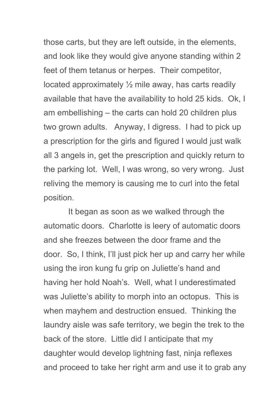those carts, but they are left outside, in the elements, and look like they would give anyone standing within 2 feet of them tetanus or herpes. Their competitor, located approximately ½ mile away, has carts readily available that have the availability to hold 25 kids. Ok, I am embellishing – the carts can hold 20 children plus two grown adults. Anyway, I digress. I had to pick up a prescription for the girls and figured I would just walk all 3 angels in, get the prescription and quickly return to the parking lot. Well, I was wrong, so very wrong. Just reliving the memory is causing me to curl into the fetal position.

It began as soon as we walked through the automatic doors. Charlotte is leery of automatic doors and she freezes between the door frame and the door. So, I think, I'll just pick her up and carry her while using the iron kung fu grip on Juliette's hand and having her hold Noah's. Well, what I underestimated was Juliette's ability to morph into an octopus. This is when mayhem and destruction ensued. Thinking the laundry aisle was safe territory, we begin the trek to the back of the store. Little did I anticipate that my daughter would develop lightning fast, ninja reflexes and proceed to take her right arm and use it to grab any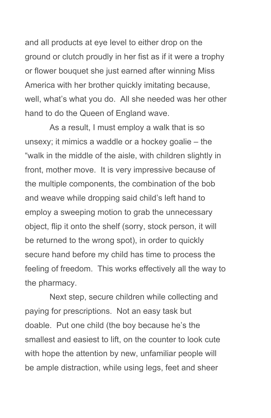and all products at eye level to either drop on the ground or clutch proudly in her fist as if it were a trophy or flower bouquet she just earned after winning Miss America with her brother quickly imitating because, well, what's what you do. All she needed was her other hand to do the Queen of England wave.

As a result, I must employ a walk that is so unsexy; it mimics a waddle or a hockey goalie – the "walk in the middle of the aisle, with children slightly in front, mother move. It is very impressive because of the multiple components, the combination of the bob and weave while dropping said child's left hand to employ a sweeping motion to grab the unnecessary object, flip it onto the shelf (sorry, stock person, it will be returned to the wrong spot), in order to quickly secure hand before my child has time to process the feeling of freedom. This works effectively all the way to the pharmacy.

Next step, secure children while collecting and paying for prescriptions. Not an easy task but doable. Put one child (the boy because he's the smallest and easiest to lift, on the counter to look cute with hope the attention by new, unfamiliar people will be ample distraction, while using legs, feet and sheer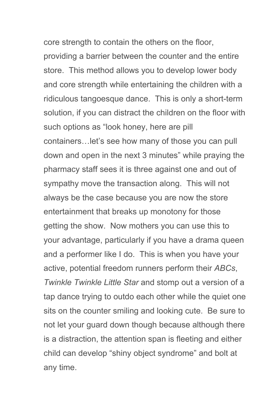core strength to contain the others on the floor, providing a barrier between the counter and the entire store. This method allows you to develop lower body and core strength while entertaining the children with a ridiculous tangoesque dance. This is only a short-term solution, if you can distract the children on the floor with such options as "look honey, here are pill containers…let's see how many of those you can pull down and open in the next 3 minutes" while praying the pharmacy staff sees it is three against one and out of sympathy move the transaction along. This will not always be the case because you are now the store entertainment that breaks up monotony for those getting the show. Now mothers you can use this to your advantage, particularly if you have a drama queen and a performer like I do. This is when you have your active, potential freedom runners perform their *ABCs*, *Twinkle Twinkle Little Star* and stomp out a version of a tap dance trying to outdo each other while the quiet one sits on the counter smiling and looking cute. Be sure to not let your guard down though because although there is a distraction, the attention span is fleeting and either child can develop "shiny object syndrome" and bolt at any time.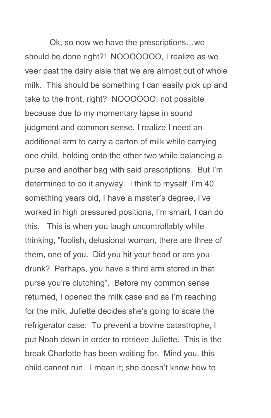Ok, so now we have the prescriptions…we should be done right?! NOOOOOOO, I realize as we veer past the dairy aisle that we are almost out of whole milk. This should be something I can easily pick up and take to the front, right? NOOOOOO, not possible because due to my momentary lapse in sound judgment and common sense, I realize I need an additional arm to carry a carton of milk while carrying one child, holding onto the other two while balancing a purse and another bag with said prescriptions. But I'm determined to do it anyway. I think to myself, I'm 40 something years old, I have a master's degree, I've worked in high pressured positions, I'm smart, I can do this. This is when you laugh uncontrollably while thinking, "foolish, delusional woman, there are three of them, one of you. Did you hit your head or are you drunk? Perhaps, you have a third arm stored in that purse you're clutching". Before my common sense returned, I opened the milk case and as I'm reaching for the milk, Juliette decides she's going to scale the refrigerator case. To prevent a bovine catastrophe, I put Noah down in order to retrieve Juliette. This is the break Charlotte has been waiting for. Mind you, this child cannot run. I mean it; she doesn't know how to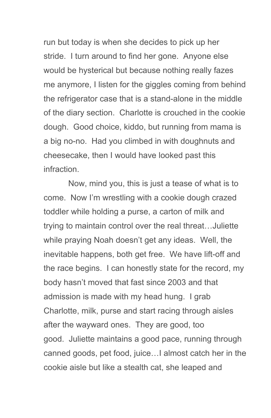run but today is when she decides to pick up her stride. I turn around to find her gone. Anyone else would be hysterical but because nothing really fazes me anymore, I listen for the giggles coming from behind the refrigerator case that is a stand-alone in the middle of the diary section. Charlotte is crouched in the cookie dough. Good choice, kiddo, but running from mama is a big no-no. Had you climbed in with doughnuts and cheesecake, then I would have looked past this infraction.

Now, mind you, this is just a tease of what is to come. Now I'm wrestling with a cookie dough crazed toddler while holding a purse, a carton of milk and trying to maintain control over the real threat…Juliette while praying Noah doesn't get any ideas. Well, the inevitable happens, both get free. We have lift-off and the race begins. I can honestly state for the record, my body hasn't moved that fast since 2003 and that admission is made with my head hung. I grab Charlotte, milk, purse and start racing through aisles after the wayward ones. They are good, too good. Juliette maintains a good pace, running through canned goods, pet food, juice…I almost catch her in the cookie aisle but like a stealth cat, she leaped and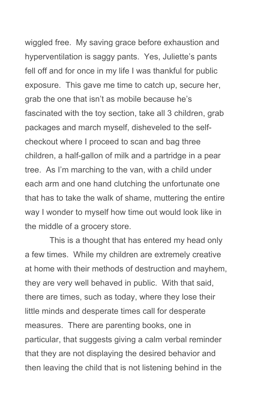wiggled free. My saving grace before exhaustion and hyperventilation is saggy pants. Yes, Juliette's pants fell off and for once in my life I was thankful for public exposure. This gave me time to catch up, secure her, grab the one that isn't as mobile because he's fascinated with the toy section, take all 3 children, grab packages and march myself, disheveled to the selfcheckout where I proceed to scan and bag three children, a half-gallon of milk and a partridge in a pear tree. As I'm marching to the van, with a child under each arm and one hand clutching the unfortunate one that has to take the walk of shame, muttering the entire way I wonder to myself how time out would look like in the middle of a grocery store.

This is a thought that has entered my head only a few times. While my children are extremely creative at home with their methods of destruction and mayhem, they are very well behaved in public. With that said, there are times, such as today, where they lose their little minds and desperate times call for desperate measures. There are parenting books, one in particular, that suggests giving a calm verbal reminder that they are not displaying the desired behavior and then leaving the child that is not listening behind in the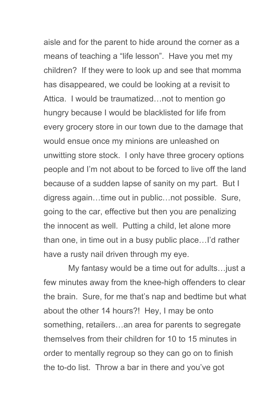aisle and for the parent to hide around the corner as a means of teaching a "life lesson". Have you met my children? If they were to look up and see that momma has disappeared, we could be looking at a revisit to Attica. I would be traumatized…not to mention go hungry because I would be blacklisted for life from every grocery store in our town due to the damage that would ensue once my minions are unleashed on unwitting store stock. I only have three grocery options people and I'm not about to be forced to live off the land because of a sudden lapse of sanity on my part. But I digress again…time out in public…not possible. Sure, going to the car, effective but then you are penalizing the innocent as well. Putting a child, let alone more than one, in time out in a busy public place…I'd rather have a rusty nail driven through my eye.

My fantasy would be a time out for adults…just a few minutes away from the knee-high offenders to clear the brain. Sure, for me that's nap and bedtime but what about the other 14 hours?! Hey, I may be onto something, retailers…an area for parents to segregate themselves from their children for 10 to 15 minutes in order to mentally regroup so they can go on to finish the to-do list. Throw a bar in there and you've got